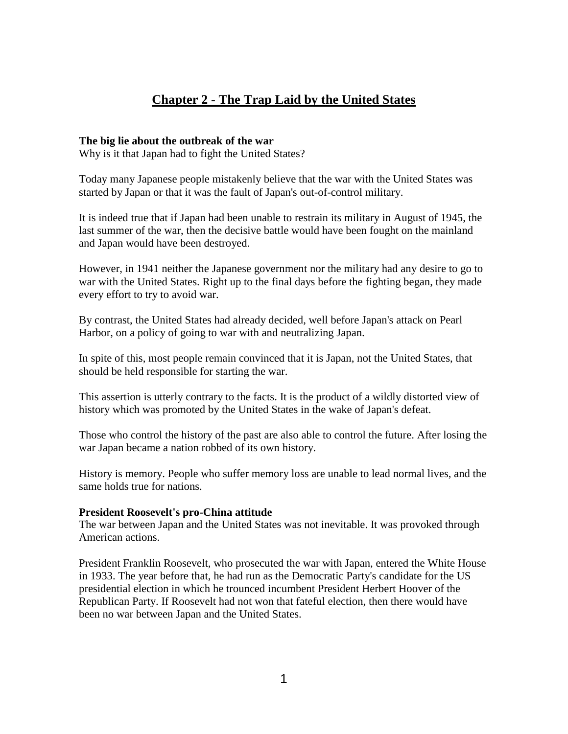# **Chapter 2 - The Trap Laid by the United States**

## **The big lie about the outbreak of the war**

Why is it that Japan had to fight the United States?

Today many Japanese people mistakenly believe that the war with the United States was started by Japan or that it was the fault of Japan's out-of-control military.

It is indeed true that if Japan had been unable to restrain its military in August of 1945, the last summer of the war, then the decisive battle would have been fought on the mainland and Japan would have been destroyed.

However, in 1941 neither the Japanese government nor the military had any desire to go to war with the United States. Right up to the final days before the fighting began, they made every effort to try to avoid war.

By contrast, the United States had already decided, well before Japan's attack on Pearl Harbor, on a policy of going to war with and neutralizing Japan.

In spite of this, most people remain convinced that it is Japan, not the United States, that should be held responsible for starting the war.

This assertion is utterly contrary to the facts. It is the product of a wildly distorted view of history which was promoted by the United States in the wake of Japan's defeat.

Those who control the history of the past are also able to control the future. After losing the war Japan became a nation robbed of its own history.

History is memory. People who suffer memory loss are unable to lead normal lives, and the same holds true for nations.

# **President Roosevelt's pro-China attitude**

The war between Japan and the United States was not inevitable. It was provoked through American actions.

President Franklin Roosevelt, who prosecuted the war with Japan, entered the White House in 1933. The year before that, he had run as the Democratic Party's candidate for the US presidential election in which he trounced incumbent President Herbert Hoover of the Republican Party. If Roosevelt had not won that fateful election, then there would have been no war between Japan and the United States.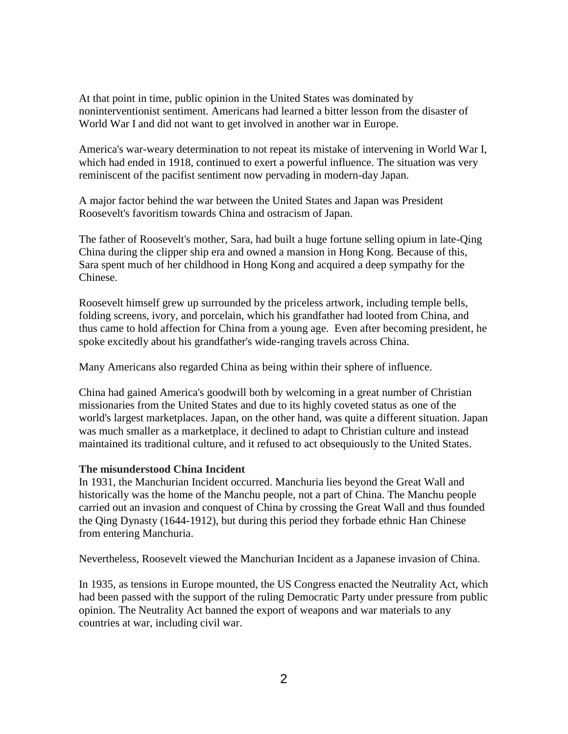At that point in time, public opinion in the United States was dominated by noninterventionist sentiment. Americans had learned a bitter lesson from the disaster of World War I and did not want to get involved in another war in Europe.

America's war-weary determination to not repeat its mistake of intervening in World War I, which had ended in 1918, continued to exert a powerful influence. The situation was very reminiscent of the pacifist sentiment now pervading in modern-day Japan.

A major factor behind the war between the United States and Japan was President Roosevelt's favoritism towards China and ostracism of Japan.

The father of Roosevelt's mother, Sara, had built a huge fortune selling opium in late-Qing China during the clipper ship era and owned a mansion in Hong Kong. Because of this, Sara spent much of her childhood in Hong Kong and acquired a deep sympathy for the Chinese.

Roosevelt himself grew up surrounded by the priceless artwork, including temple bells, folding screens, ivory, and porcelain, which his grandfather had looted from China, and thus came to hold affection for China from a young age. Even after becoming president, he spoke excitedly about his grandfather's wide-ranging travels across China.

Many Americans also regarded China as being within their sphere of influence.

China had gained America's goodwill both by welcoming in a great number of Christian missionaries from the United States and due to its highly coveted status as one of the world's largest marketplaces. Japan, on the other hand, was quite a different situation. Japan was much smaller as a marketplace, it declined to adapt to Christian culture and instead maintained its traditional culture, and it refused to act obsequiously to the United States.

# **The misunderstood China Incident**

In 1931, the Manchurian Incident occurred. Manchuria lies beyond the Great Wall and historically was the home of the Manchu people, not a part of China. The Manchu people carried out an invasion and conquest of China by crossing the Great Wall and thus founded the Qing Dynasty (1644-1912), but during this period they forbade ethnic Han Chinese from entering Manchuria.

Nevertheless, Roosevelt viewed the Manchurian Incident as a Japanese invasion of China.

In 1935, as tensions in Europe mounted, the US Congress enacted the Neutrality Act, which had been passed with the support of the ruling Democratic Party under pressure from public opinion. The Neutrality Act banned the export of weapons and war materials to any countries at war, including civil war.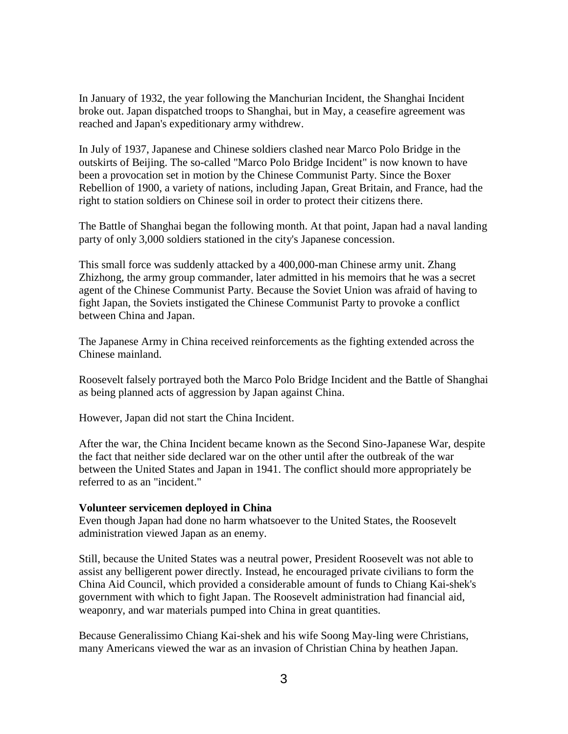In January of 1932, the year following the Manchurian Incident, the Shanghai Incident broke out. Japan dispatched troops to Shanghai, but in May, a ceasefire agreement was reached and Japan's expeditionary army withdrew.

In July of 1937, Japanese and Chinese soldiers clashed near Marco Polo Bridge in the outskirts of Beijing. The so-called "Marco Polo Bridge Incident" is now known to have been a provocation set in motion by the Chinese Communist Party. Since the Boxer Rebellion of 1900, a variety of nations, including Japan, Great Britain, and France, had the right to station soldiers on Chinese soil in order to protect their citizens there.

The Battle of Shanghai began the following month. At that point, Japan had a naval landing party of only 3,000 soldiers stationed in the city's Japanese concession.

This small force was suddenly attacked by a 400,000-man Chinese army unit. Zhang Zhizhong, the army group commander, later admitted in his memoirs that he was a secret agent of the Chinese Communist Party. Because the Soviet Union was afraid of having to fight Japan, the Soviets instigated the Chinese Communist Party to provoke a conflict between China and Japan.

The Japanese Army in China received reinforcements as the fighting extended across the Chinese mainland.

Roosevelt falsely portrayed both the Marco Polo Bridge Incident and the Battle of Shanghai as being planned acts of aggression by Japan against China.

However, Japan did not start the China Incident.

After the war, the China Incident became known as the Second Sino-Japanese War, despite the fact that neither side declared war on the other until after the outbreak of the war between the United States and Japan in 1941. The conflict should more appropriately be referred to as an "incident."

#### **Volunteer servicemen deployed in China**

Even though Japan had done no harm whatsoever to the United States, the Roosevelt administration viewed Japan as an enemy.

Still, because the United States was a neutral power, President Roosevelt was not able to assist any belligerent power directly. Instead, he encouraged private civilians to form the China Aid Council, which provided a considerable amount of funds to Chiang Kai-shek's government with which to fight Japan. The Roosevelt administration had financial aid, weaponry, and war materials pumped into China in great quantities.

Because Generalissimo Chiang Kai-shek and his wife Soong May-ling were Christians, many Americans viewed the war as an invasion of Christian China by heathen Japan.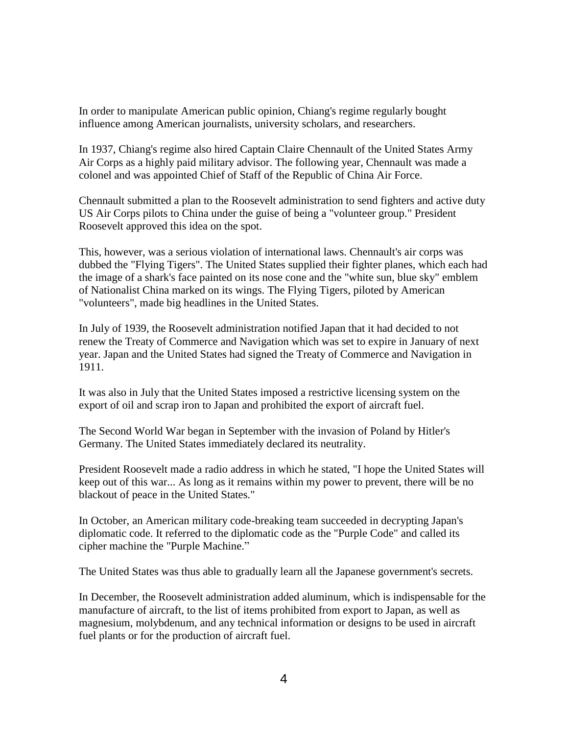In order to manipulate American public opinion, Chiang's regime regularly bought influence among American journalists, university scholars, and researchers.

In 1937, Chiang's regime also hired Captain Claire Chennault of the United States Army Air Corps as a highly paid military advisor. The following year, Chennault was made a colonel and was appointed Chief of Staff of the Republic of China Air Force.

Chennault submitted a plan to the Roosevelt administration to send fighters and active duty US Air Corps pilots to China under the guise of being a "volunteer group." President Roosevelt approved this idea on the spot.

This, however, was a serious violation of international laws. Chennault's air corps was dubbed the "Flying Tigers". The United States supplied their fighter planes, which each had the image of a shark's face painted on its nose cone and the "white sun, blue sky" emblem of Nationalist China marked on its wings. The Flying Tigers, piloted by American "volunteers", made big headlines in the United States.

In July of 1939, the Roosevelt administration notified Japan that it had decided to not renew the Treaty of Commerce and Navigation which was set to expire in January of next year. Japan and the United States had signed the Treaty of Commerce and Navigation in 1911.

It was also in July that the United States imposed a restrictive licensing system on the export of oil and scrap iron to Japan and prohibited the export of aircraft fuel.

The Second World War began in September with the invasion of Poland by Hitler's Germany. The United States immediately declared its neutrality.

President Roosevelt made a radio address in which he stated, "I hope the United States will keep out of this war... As long as it remains within my power to prevent, there will be no blackout of peace in the United States."

In October, an American military code-breaking team succeeded in decrypting Japan's diplomatic code. It referred to the diplomatic code as the "Purple Code" and called its cipher machine the "Purple Machine."

The United States was thus able to gradually learn all the Japanese government's secrets.

In December, the Roosevelt administration added aluminum, which is indispensable for the manufacture of aircraft, to the list of items prohibited from export to Japan, as well as magnesium, molybdenum, and any technical information or designs to be used in aircraft fuel plants or for the production of aircraft fuel.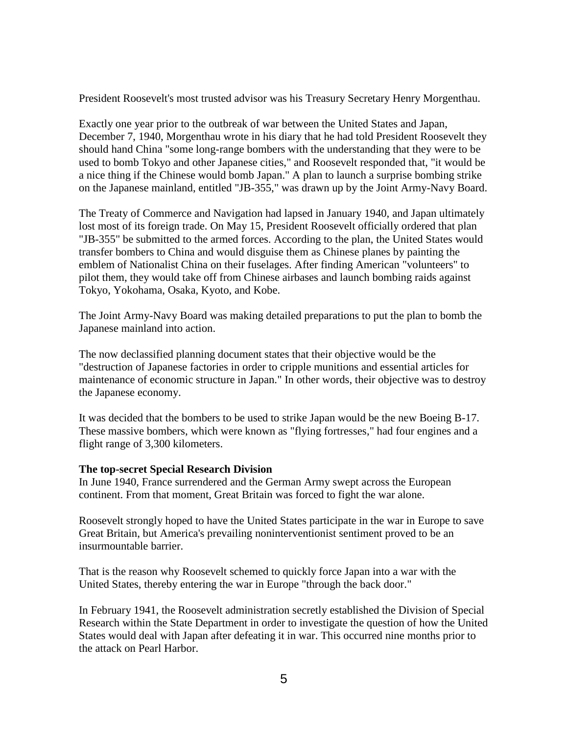President Roosevelt's most trusted advisor was his Treasury Secretary Henry Morgenthau.

Exactly one year prior to the outbreak of war between the United States and Japan, December 7, 1940, Morgenthau wrote in his diary that he had told President Roosevelt they should hand China "some long-range bombers with the understanding that they were to be used to bomb Tokyo and other Japanese cities," and Roosevelt responded that, "it would be a nice thing if the Chinese would bomb Japan." A plan to launch a surprise bombing strike on the Japanese mainland, entitled "JB-355," was drawn up by the Joint Army-Navy Board.

The Treaty of Commerce and Navigation had lapsed in January 1940, and Japan ultimately lost most of its foreign trade. On May 15, President Roosevelt officially ordered that plan "JB-355" be submitted to the armed forces. According to the plan, the United States would transfer bombers to China and would disguise them as Chinese planes by painting the emblem of Nationalist China on their fuselages. After finding American "volunteers" to pilot them, they would take off from Chinese airbases and launch bombing raids against Tokyo, Yokohama, Osaka, Kyoto, and Kobe.

The Joint Army-Navy Board was making detailed preparations to put the plan to bomb the Japanese mainland into action.

The now declassified planning document states that their objective would be the "destruction of Japanese factories in order to cripple munitions and essential articles for maintenance of economic structure in Japan." In other words, their objective was to destroy the Japanese economy.

It was decided that the bombers to be used to strike Japan would be the new Boeing B-17. These massive bombers, which were known as "flying fortresses," had four engines and a flight range of 3,300 kilometers.

# **The top-secret Special Research Division**

In June 1940, France surrendered and the German Army swept across the European continent. From that moment, Great Britain was forced to fight the war alone.

Roosevelt strongly hoped to have the United States participate in the war in Europe to save Great Britain, but America's prevailing noninterventionist sentiment proved to be an insurmountable barrier.

That is the reason why Roosevelt schemed to quickly force Japan into a war with the United States, thereby entering the war in Europe "through the back door."

In February 1941, the Roosevelt administration secretly established the Division of Special Research within the State Department in order to investigate the question of how the United States would deal with Japan after defeating it in war. This occurred nine months prior to the attack on Pearl Harbor.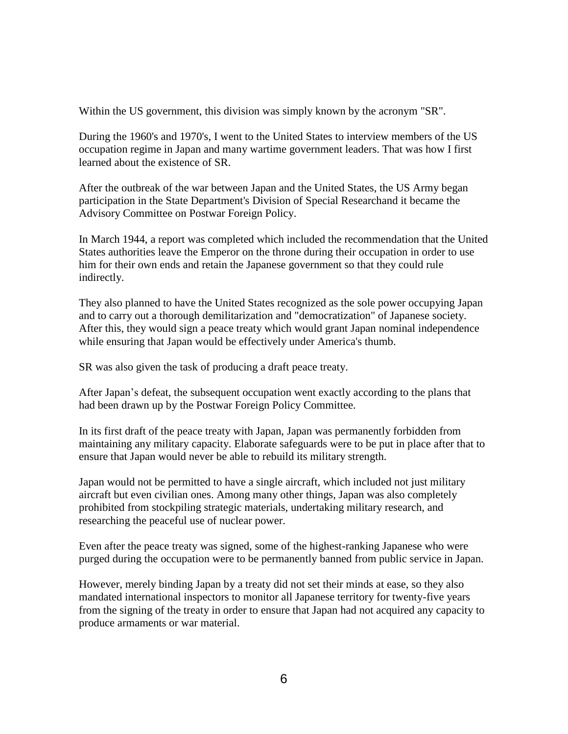Within the US government, this division was simply known by the acronym "SR".

During the 1960's and 1970's, I went to the United States to interview members of the US occupation regime in Japan and many wartime government leaders. That was how I first learned about the existence of SR.

After the outbreak of the war between Japan and the United States, the US Army began participation in the State Department's Division of Special Researchand it became the Advisory Committee on Postwar Foreign Policy.

In March 1944, a report was completed which included the recommendation that the United States authorities leave the Emperor on the throne during their occupation in order to use him for their own ends and retain the Japanese government so that they could rule indirectly.

They also planned to have the United States recognized as the sole power occupying Japan and to carry out a thorough demilitarization and "democratization" of Japanese society. After this, they would sign a peace treaty which would grant Japan nominal independence while ensuring that Japan would be effectively under America's thumb.

SR was also given the task of producing a draft peace treaty.

After Japan's defeat, the subsequent occupation went exactly according to the plans that had been drawn up by the Postwar Foreign Policy Committee.

In its first draft of the peace treaty with Japan, Japan was permanently forbidden from maintaining any military capacity. Elaborate safeguards were to be put in place after that to ensure that Japan would never be able to rebuild its military strength.

Japan would not be permitted to have a single aircraft, which included not just military aircraft but even civilian ones. Among many other things, Japan was also completely prohibited from stockpiling strategic materials, undertaking military research, and researching the peaceful use of nuclear power.

Even after the peace treaty was signed, some of the highest-ranking Japanese who were purged during the occupation were to be permanently banned from public service in Japan.

However, merely binding Japan by a treaty did not set their minds at ease, so they also mandated international inspectors to monitor all Japanese territory for twenty-five years from the signing of the treaty in order to ensure that Japan had not acquired any capacity to produce armaments or war material.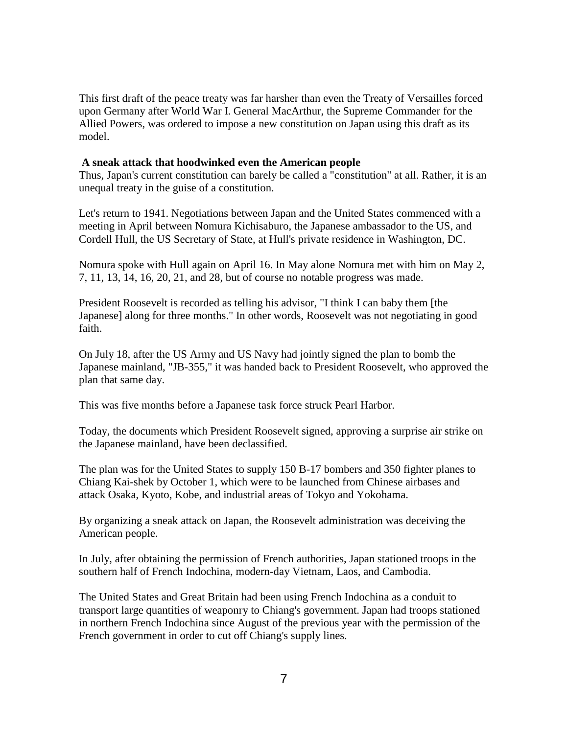This first draft of the peace treaty was far harsher than even the Treaty of Versailles forced upon Germany after World War I. General MacArthur, the Supreme Commander for the Allied Powers, was ordered to impose a new constitution on Japan using this draft as its model.

#### **A sneak attack that hoodwinked even the American people**

Thus, Japan's current constitution can barely be called a "constitution" at all. Rather, it is an unequal treaty in the guise of a constitution.

Let's return to 1941. Negotiations between Japan and the United States commenced with a meeting in April between Nomura Kichisaburo, the Japanese ambassador to the US, and Cordell Hull, the US Secretary of State, at Hull's private residence in Washington, DC.

Nomura spoke with Hull again on April 16. In May alone Nomura met with him on May 2, 7, 11, 13, 14, 16, 20, 21, and 28, but of course no notable progress was made.

President Roosevelt is recorded as telling his advisor, "I think I can baby them [the Japanese] along for three months." In other words, Roosevelt was not negotiating in good faith.

On July 18, after the US Army and US Navy had jointly signed the plan to bomb the Japanese mainland, "JB-355," it was handed back to President Roosevelt, who approved the plan that same day.

This was five months before a Japanese task force struck Pearl Harbor.

Today, the documents which President Roosevelt signed, approving a surprise air strike on the Japanese mainland, have been declassified.

The plan was for the United States to supply 150 B-17 bombers and 350 fighter planes to Chiang Kai-shek by October 1, which were to be launched from Chinese airbases and attack Osaka, Kyoto, Kobe, and industrial areas of Tokyo and Yokohama.

By organizing a sneak attack on Japan, the Roosevelt administration was deceiving the American people.

In July, after obtaining the permission of French authorities, Japan stationed troops in the southern half of French Indochina, modern-day Vietnam, Laos, and Cambodia.

The United States and Great Britain had been using French Indochina as a conduit to transport large quantities of weaponry to Chiang's government. Japan had troops stationed in northern French Indochina since August of the previous year with the permission of the French government in order to cut off Chiang's supply lines.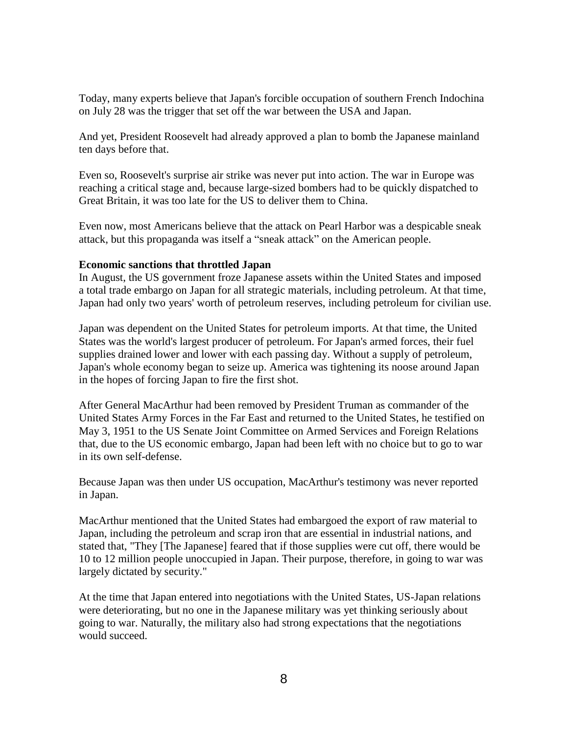Today, many experts believe that Japan's forcible occupation of southern French Indochina on July 28 was the trigger that set off the war between the USA and Japan.

And yet, President Roosevelt had already approved a plan to bomb the Japanese mainland ten days before that.

Even so, Roosevelt's surprise air strike was never put into action. The war in Europe was reaching a critical stage and, because large-sized bombers had to be quickly dispatched to Great Britain, it was too late for the US to deliver them to China.

Even now, most Americans believe that the attack on Pearl Harbor was a despicable sneak attack, but this propaganda was itself a "sneak attack" on the American people.

# **Economic sanctions that throttled Japan**

In August, the US government froze Japanese assets within the United States and imposed a total trade embargo on Japan for all strategic materials, including petroleum. At that time, Japan had only two years' worth of petroleum reserves, including petroleum for civilian use.

Japan was dependent on the United States for petroleum imports. At that time, the United States was the world's largest producer of petroleum. For Japan's armed forces, their fuel supplies drained lower and lower with each passing day. Without a supply of petroleum, Japan's whole economy began to seize up. America was tightening its noose around Japan in the hopes of forcing Japan to fire the first shot.

After General MacArthur had been removed by President Truman as commander of the United States Army Forces in the Far East and returned to the United States, he testified on May 3, 1951 to the US Senate Joint Committee on Armed Services and Foreign Relations that, due to the US economic embargo, Japan had been left with no choice but to go to war in its own self-defense.

Because Japan was then under US occupation, MacArthur's testimony was never reported in Japan.

MacArthur mentioned that the United States had embargoed the export of raw material to Japan, including the petroleum and scrap iron that are essential in industrial nations, and stated that, "They [The Japanese] feared that if those supplies were cut off, there would be 10 to 12 million people unoccupied in Japan. Their purpose, therefore, in going to war was largely dictated by security."

At the time that Japan entered into negotiations with the United States, US-Japan relations were deteriorating, but no one in the Japanese military was yet thinking seriously about going to war. Naturally, the military also had strong expectations that the negotiations would succeed.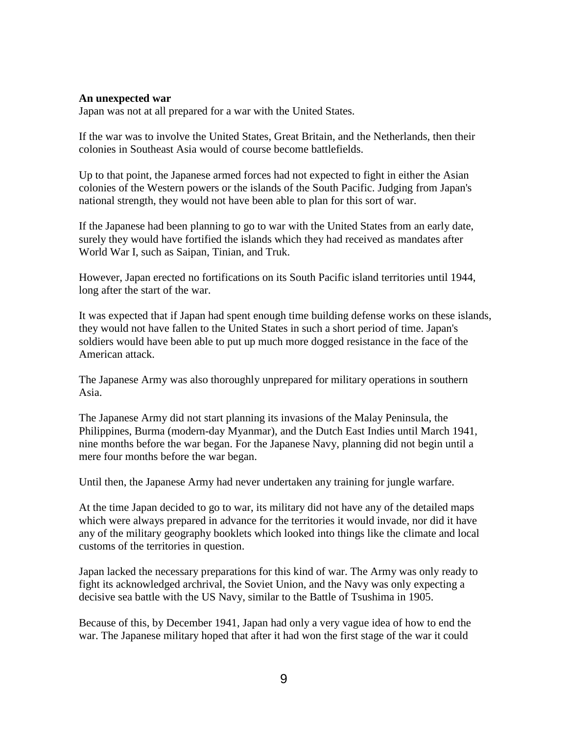#### **An unexpected war**

Japan was not at all prepared for a war with the United States.

If the war was to involve the United States, Great Britain, and the Netherlands, then their colonies in Southeast Asia would of course become battlefields.

Up to that point, the Japanese armed forces had not expected to fight in either the Asian colonies of the Western powers or the islands of the South Pacific. Judging from Japan's national strength, they would not have been able to plan for this sort of war.

If the Japanese had been planning to go to war with the United States from an early date, surely they would have fortified the islands which they had received as mandates after World War I, such as Saipan, Tinian, and Truk.

However, Japan erected no fortifications on its South Pacific island territories until 1944, long after the start of the war.

It was expected that if Japan had spent enough time building defense works on these islands, they would not have fallen to the United States in such a short period of time. Japan's soldiers would have been able to put up much more dogged resistance in the face of the American attack.

The Japanese Army was also thoroughly unprepared for military operations in southern Asia.

The Japanese Army did not start planning its invasions of the Malay Peninsula, the Philippines, Burma (modern-day Myanmar), and the Dutch East Indies until March 1941, nine months before the war began. For the Japanese Navy, planning did not begin until a mere four months before the war began.

Until then, the Japanese Army had never undertaken any training for jungle warfare.

At the time Japan decided to go to war, its military did not have any of the detailed maps which were always prepared in advance for the territories it would invade, nor did it have any of the military geography booklets which looked into things like the climate and local customs of the territories in question.

Japan lacked the necessary preparations for this kind of war. The Army was only ready to fight its acknowledged archrival, the Soviet Union, and the Navy was only expecting a decisive sea battle with the US Navy, similar to the Battle of Tsushima in 1905.

Because of this, by December 1941, Japan had only a very vague idea of how to end the war. The Japanese military hoped that after it had won the first stage of the war it could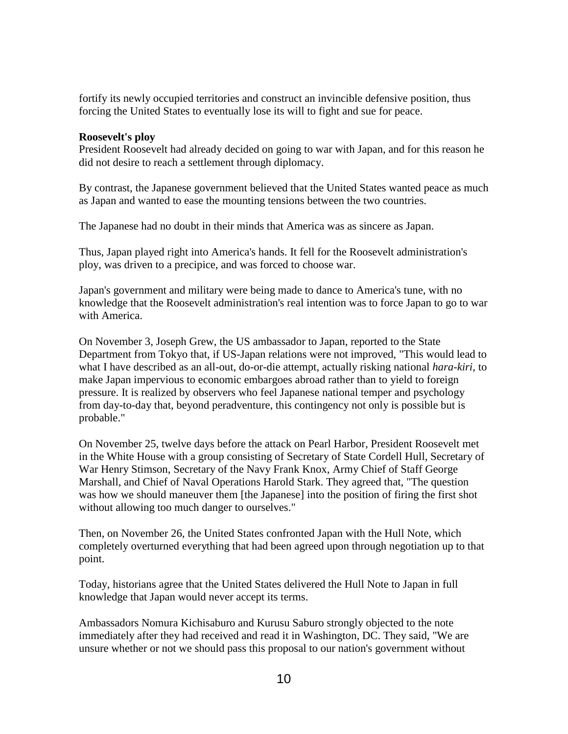fortify its newly occupied territories and construct an invincible defensive position, thus forcing the United States to eventually lose its will to fight and sue for peace.

## **Roosevelt's ploy**

President Roosevelt had already decided on going to war with Japan, and for this reason he did not desire to reach a settlement through diplomacy.

By contrast, the Japanese government believed that the United States wanted peace as much as Japan and wanted to ease the mounting tensions between the two countries.

The Japanese had no doubt in their minds that America was as sincere as Japan.

Thus, Japan played right into America's hands. It fell for the Roosevelt administration's ploy, was driven to a precipice, and was forced to choose war.

Japan's government and military were being made to dance to America's tune, with no knowledge that the Roosevelt administration's real intention was to force Japan to go to war with America.

On November 3, Joseph Grew, the US ambassador to Japan, reported to the State Department from Tokyo that, if US-Japan relations were not improved, "This would lead to what I have described as an all-out, do-or-die attempt, actually risking national *hara-kiri*, to make Japan impervious to economic embargoes abroad rather than to yield to foreign pressure. It is realized by observers who feel Japanese national temper and psychology from day-to-day that, beyond peradventure, this contingency not only is possible but is probable."

On November 25, twelve days before the attack on Pearl Harbor, President Roosevelt met in the White House with a group consisting of Secretary of State Cordell Hull, Secretary of War Henry Stimson, Secretary of the Navy Frank Knox, Army Chief of Staff George Marshall, and Chief of Naval Operations Harold Stark. They agreed that, "The question was how we should maneuver them [the Japanese] into the position of firing the first shot without allowing too much danger to ourselves."

Then, on November 26, the United States confronted Japan with the Hull Note, which completely overturned everything that had been agreed upon through negotiation up to that point.

Today, historians agree that the United States delivered the Hull Note to Japan in full knowledge that Japan would never accept its terms.

Ambassadors Nomura Kichisaburo and Kurusu Saburo strongly objected to the note immediately after they had received and read it in Washington, DC. They said, "We are unsure whether or not we should pass this proposal to our nation's government without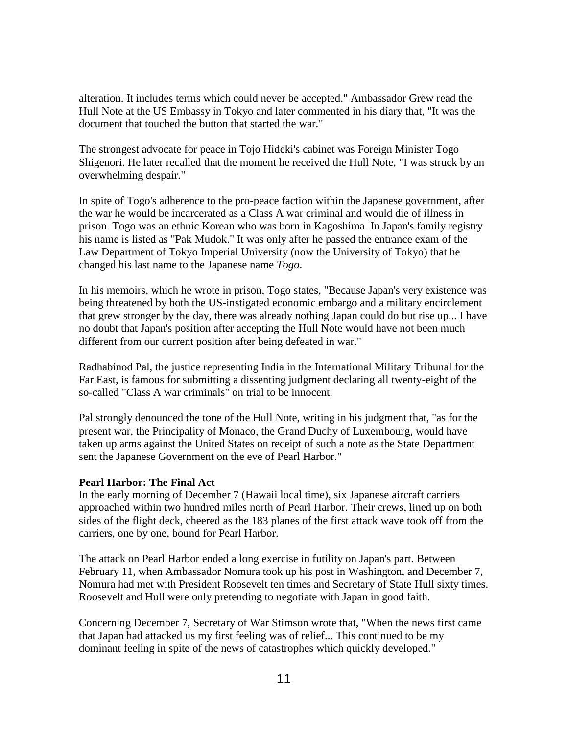alteration. It includes terms which could never be accepted." Ambassador Grew read the Hull Note at the US Embassy in Tokyo and later commented in his diary that, "It was the document that touched the button that started the war."

The strongest advocate for peace in Tojo Hideki's cabinet was Foreign Minister Togo Shigenori. He later recalled that the moment he received the Hull Note, "I was struck by an overwhelming despair."

In spite of Togo's adherence to the pro-peace faction within the Japanese government, after the war he would be incarcerated as a Class A war criminal and would die of illness in prison. Togo was an ethnic Korean who was born in Kagoshima. In Japan's family registry his name is listed as "Pak Mudok." It was only after he passed the entrance exam of the Law Department of Tokyo Imperial University (now the University of Tokyo) that he changed his last name to the Japanese name *Togo*.

In his memoirs, which he wrote in prison, Togo states, "Because Japan's very existence was being threatened by both the US-instigated economic embargo and a military encirclement that grew stronger by the day, there was already nothing Japan could do but rise up... I have no doubt that Japan's position after accepting the Hull Note would have not been much different from our current position after being defeated in war."

Radhabinod Pal, the justice representing India in the International Military Tribunal for the Far East, is famous for submitting a dissenting judgment declaring all twenty-eight of the so-called "Class A war criminals" on trial to be innocent.

Pal strongly denounced the tone of the Hull Note, writing in his judgment that, "as for the present war, the Principality of Monaco, the Grand Duchy of Luxembourg, would have taken up arms against the United States on receipt of such a note as the State Department sent the Japanese Government on the eve of Pearl Harbor."

# **Pearl Harbor: The Final Act**

In the early morning of December 7 (Hawaii local time), six Japanese aircraft carriers approached within two hundred miles north of Pearl Harbor. Their crews, lined up on both sides of the flight deck, cheered as the 183 planes of the first attack wave took off from the carriers, one by one, bound for Pearl Harbor.

The attack on Pearl Harbor ended a long exercise in futility on Japan's part. Between February 11, when Ambassador Nomura took up his post in Washington, and December 7, Nomura had met with President Roosevelt ten times and Secretary of State Hull sixty times. Roosevelt and Hull were only pretending to negotiate with Japan in good faith.

Concerning December 7, Secretary of War Stimson wrote that, "When the news first came that Japan had attacked us my first feeling was of relief... This continued to be my dominant feeling in spite of the news of catastrophes which quickly developed."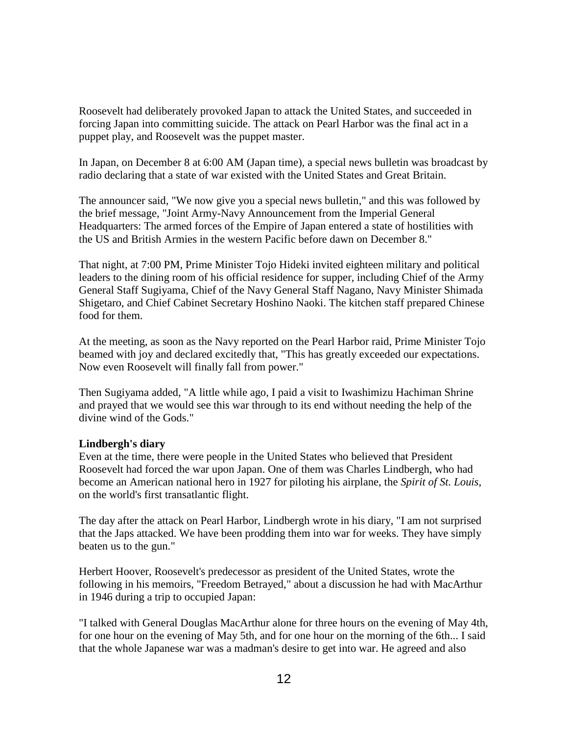Roosevelt had deliberately provoked Japan to attack the United States, and succeeded in forcing Japan into committing suicide. The attack on Pearl Harbor was the final act in a puppet play, and Roosevelt was the puppet master.

In Japan, on December 8 at 6:00 AM (Japan time), a special news bulletin was broadcast by radio declaring that a state of war existed with the United States and Great Britain.

The announcer said, "We now give you a special news bulletin," and this was followed by the brief message, "Joint Army-Navy Announcement from the Imperial General Headquarters: The armed forces of the Empire of Japan entered a state of hostilities with the US and British Armies in the western Pacific before dawn on December 8."

That night, at 7:00 PM, Prime Minister Tojo Hideki invited eighteen military and political leaders to the dining room of his official residence for supper, including Chief of the Army General Staff Sugiyama, Chief of the Navy General Staff Nagano, Navy Minister Shimada Shigetaro, and Chief Cabinet Secretary Hoshino Naoki. The kitchen staff prepared Chinese food for them.

At the meeting, as soon as the Navy reported on the Pearl Harbor raid, Prime Minister Tojo beamed with joy and declared excitedly that, "This has greatly exceeded our expectations. Now even Roosevelt will finally fall from power."

Then Sugiyama added, "A little while ago, I paid a visit to Iwashimizu Hachiman Shrine and prayed that we would see this war through to its end without needing the help of the divine wind of the Gods."

# **Lindbergh's diary**

Even at the time, there were people in the United States who believed that President Roosevelt had forced the war upon Japan. One of them was Charles Lindbergh, who had become an American national hero in 1927 for piloting his airplane, the *Spirit of St. Louis*, on the world's first transatlantic flight.

The day after the attack on Pearl Harbor, Lindbergh wrote in his diary, "I am not surprised that the Japs attacked. We have been prodding them into war for weeks. They have simply beaten us to the gun."

Herbert Hoover, Roosevelt's predecessor as president of the United States, wrote the following in his memoirs, "Freedom Betrayed," about a discussion he had with MacArthur in 1946 during a trip to occupied Japan:

"I talked with General Douglas MacArthur alone for three hours on the evening of May 4th, for one hour on the evening of May 5th, and for one hour on the morning of the 6th... I said that the whole Japanese war was a madman's desire to get into war. He agreed and also